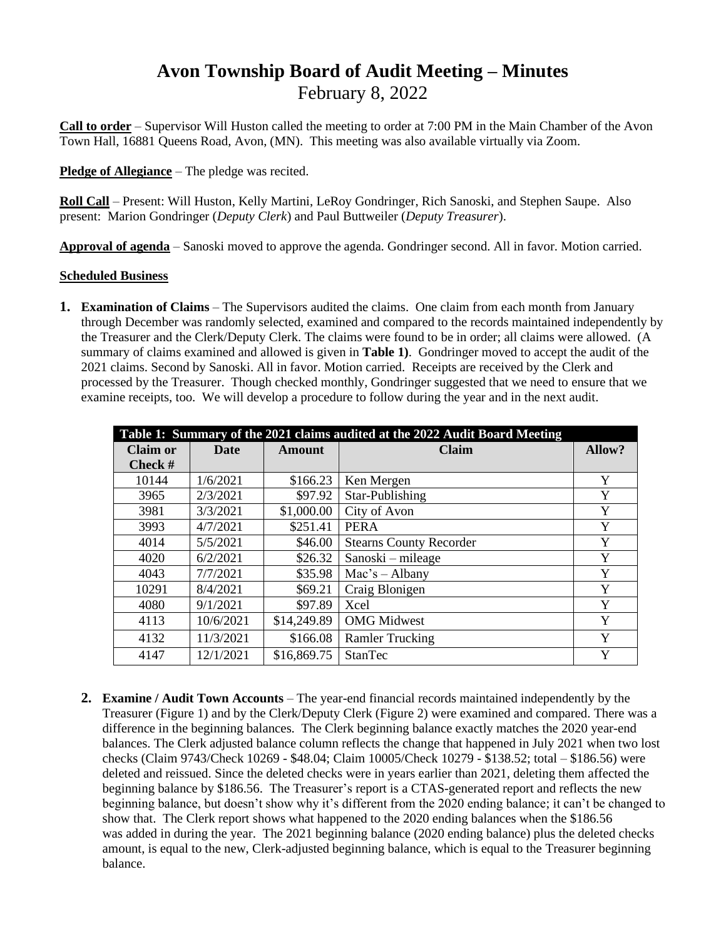# **Avon Township Board of Audit Meeting – Minutes** February 8, 2022

**Call to order** – Supervisor Will Huston called the meeting to order at 7:00 PM in the Main Chamber of the Avon Town Hall, 16881 Queens Road, Avon, (MN). This meeting was also available virtually via Zoom.

**Pledge of Allegiance** – The pledge was recited.

**Roll Call** – Present: Will Huston, Kelly Martini, LeRoy Gondringer, Rich Sanoski, and Stephen Saupe. Also present: Marion Gondringer (*Deputy Clerk*) and Paul Buttweiler (*Deputy Treasurer*).

**Approval of agenda** – Sanoski moved to approve the agenda. Gondringer second. All in favor. Motion carried.

#### **Scheduled Business**

**1. Examination of Claims** – The Supervisors audited the claims. One claim from each month from January through December was randomly selected, examined and compared to the records maintained independently by the Treasurer and the Clerk/Deputy Clerk. The claims were found to be in order; all claims were allowed. (A summary of claims examined and allowed is given in **Table 1)**. Gondringer moved to accept the audit of the 2021 claims. Second by Sanoski. All in favor. Motion carried. Receipts are received by the Clerk and processed by the Treasurer. Though checked monthly, Gondringer suggested that we need to ensure that we examine receipts, too. We will develop a procedure to follow during the year and in the next audit.

|          | Table 1: Summary of the 2021 claims audited at the 2022 Audit Board Meeting |               |                                |        |  |  |  |
|----------|-----------------------------------------------------------------------------|---------------|--------------------------------|--------|--|--|--|
| Claim or | Date                                                                        | <b>Amount</b> | <b>Claim</b>                   | Allow? |  |  |  |
| Check #  |                                                                             |               |                                |        |  |  |  |
| 10144    | 1/6/2021                                                                    | \$166.23      | Ken Mergen                     | Y      |  |  |  |
| 3965     | 2/3/2021                                                                    | \$97.92       | Star-Publishing                | Y      |  |  |  |
| 3981     | 3/3/2021                                                                    | \$1,000.00    | City of Avon                   | Y      |  |  |  |
| 3993     | 4/7/2021                                                                    | \$251.41      | <b>PERA</b>                    | Y      |  |  |  |
| 4014     | 5/5/2021                                                                    | \$46.00       | <b>Stearns County Recorder</b> | Y      |  |  |  |
| 4020     | 6/2/2021                                                                    | \$26.32       | Sanoski – mileage              | Y      |  |  |  |
| 4043     | 7/7/2021                                                                    | \$35.98       | $Mac's - Albany$               | Y      |  |  |  |
| 10291    | 8/4/2021                                                                    | \$69.21       | Craig Blonigen                 | Y      |  |  |  |
| 4080     | 9/1/2021                                                                    | \$97.89       | Xcel                           | Y      |  |  |  |
| 4113     | 10/6/2021                                                                   | \$14,249.89   | <b>OMG</b> Midwest             | Y      |  |  |  |
| 4132     | 11/3/2021                                                                   | \$166.08      | <b>Ramler Trucking</b>         | Y      |  |  |  |
| 4147     | 12/1/2021                                                                   | \$16,869.75   | <b>StanTec</b>                 | Y      |  |  |  |

**2. Examine / Audit Town Accounts** – The year-end financial records maintained independently by the Treasurer (Figure 1) and by the Clerk/Deputy Clerk (Figure 2) were examined and compared. There was a difference in the beginning balances. The Clerk beginning balance exactly matches the 2020 year-end balances. The Clerk adjusted balance column reflects the change that happened in July 2021 when two lost checks (Claim 9743/Check 10269 - \$48.04; Claim 10005/Check 10279 - \$138.52; total – \$186.56) were deleted and reissued. Since the deleted checks were in years earlier than 2021, deleting them affected the beginning balance by \$186.56. The Treasurer's report is a CTAS-generated report and reflects the new beginning balance, but doesn't show why it's different from the 2020 ending balance; it can't be changed to show that. The Clerk report shows what happened to the 2020 ending balances when the \$186.56 was added in during the year. The 2021 beginning balance (2020 ending balance) plus the deleted checks amount, is equal to the new, Clerk-adjusted beginning balance, which is equal to the Treasurer beginning balance.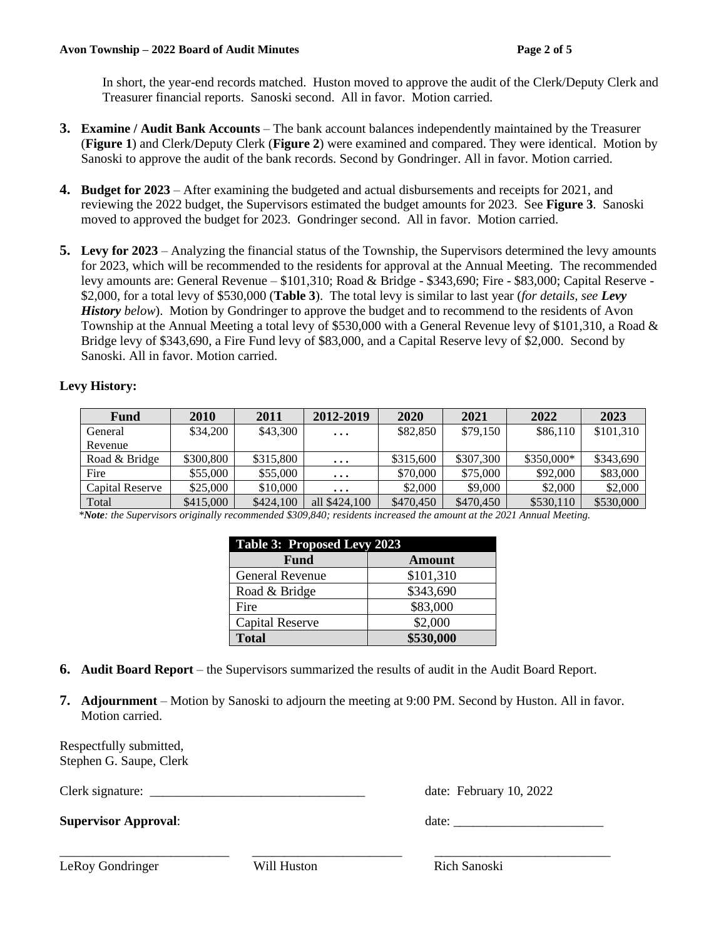In short, the year-end records matched. Huston moved to approve the audit of the Clerk/Deputy Clerk and Treasurer financial reports. Sanoski second. All in favor. Motion carried.

- **3. Examine / Audit Bank Accounts** The bank account balances independently maintained by the Treasurer (**Figure 1**) and Clerk/Deputy Clerk (**Figure 2**) were examined and compared. They were identical. Motion by Sanoski to approve the audit of the bank records. Second by Gondringer. All in favor. Motion carried.
- **4. Budget for 2023** After examining the budgeted and actual disbursements and receipts for 2021, and reviewing the 2022 budget, the Supervisors estimated the budget amounts for 2023. See **Figure 3**. Sanoski moved to approved the budget for 2023. Gondringer second. All in favor. Motion carried.
- **5. Levy for 2023** Analyzing the financial status of the Township, the Supervisors determined the levy amounts for 2023, which will be recommended to the residents for approval at the Annual Meeting. The recommended levy amounts are: General Revenue – \$101,310; Road & Bridge - \$343,690; Fire - \$83,000; Capital Reserve - \$2,000, for a total levy of \$530,000 (**Table 3**). The total levy is similar to last year (*for details, see Levy History below*). Motion by Gondringer to approve the budget and to recommend to the residents of Avon Township at the Annual Meeting a total levy of \$530,000 with a General Revenue levy of \$101,310, a Road & Bridge levy of \$343,690, a Fire Fund levy of \$83,000, and a Capital Reserve levy of \$2,000. Second by Sanoski. All in favor. Motion carried.

#### **Levy History:**

| Fund            | 2010      | 2011      | 2012-2019     | 2020      | 2021      | 2022       | 2023      |
|-----------------|-----------|-----------|---------------|-----------|-----------|------------|-----------|
| General         | \$34,200  | \$43,300  | $\cdots$      | \$82,850  | \$79,150  | \$86,110   | \$101,310 |
| Revenue         |           |           |               |           |           |            |           |
| Road & Bridge   | \$300,800 | \$315,800 | $\ddotsc$     | \$315,600 | \$307,300 | \$350,000* | \$343,690 |
| Fire            | \$55,000  | \$55,000  | $\cdots$      | \$70,000  | \$75,000  | \$92,000   | \$83,000  |
| Capital Reserve | \$25,000  | \$10,000  | $\cdots$      | \$2,000   | \$9,000   | \$2,000    | \$2,000   |
| Total           | \$415,000 | \$424,100 | all \$424,100 | \$470.450 | \$470.450 | \$530,110  | \$530,000 |

 *\*Note: the Supervisors originally recommended \$309,840; residents increased the amount at the 2021 Annual Meeting.*

| Table 3: Proposed Levy 2023 |           |
|-----------------------------|-----------|
| <b>Fund</b>                 | Amount    |
| <b>General Revenue</b>      | \$101,310 |
| Road & Bridge               | \$343,690 |
| Fire                        | \$83,000  |
| <b>Capital Reserve</b>      | \$2,000   |
| <b>Total</b>                | \$530,000 |

- **6. Audit Board Report** the Supervisors summarized the results of audit in the Audit Board Report.
- **7. Adjournment** Motion by Sanoski to adjourn the meeting at 9:00 PM. Second by Huston. All in favor. Motion carried.

\_\_\_\_\_\_\_\_\_\_\_\_\_\_\_\_\_\_\_\_\_\_\_\_\_\_ \_\_\_\_\_\_\_\_\_\_\_\_\_\_\_\_\_\_\_\_\_\_\_ \_\_\_\_\_\_\_\_\_\_\_\_\_\_\_\_\_\_\_\_\_\_\_\_\_\_\_

Respectfully submitted, Stephen G. Saupe, Clerk

Clerk signature: <br>
Clerk signature: <br>
Clerk signature: <br>
Clerk signature: <br>
Clerk signature: <br>
Clerk signature: <br>
Clerk signature: <br>
Clerk signature: <br>
Clerk signature: <br>
Clerk signature: <br>
Clerk signature: <br>
Clerk signatu

**Supervisor Approval:** date: date: date: date: date: date: date: date: date: date: date: date: date: date: date: date: date: date: date: date: date: date: date: date: date: date: date: date: date: date: date: date: date: d

LeRoy Gondringer Will Huston Rich Sanoski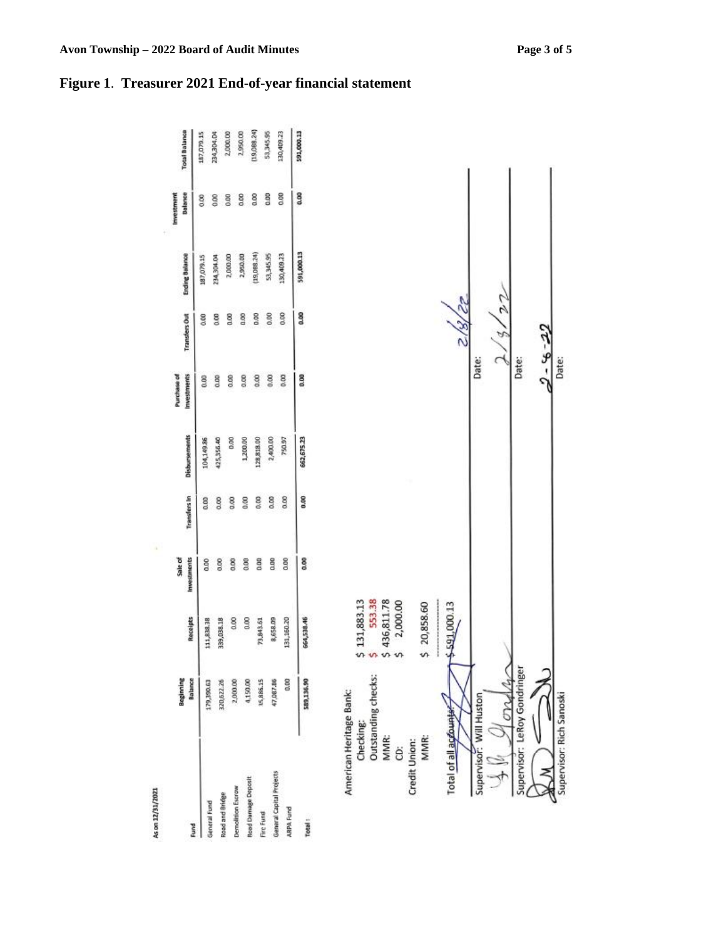

#### **Figure 1**. **Treasurer 2021 End-of-year financial statement**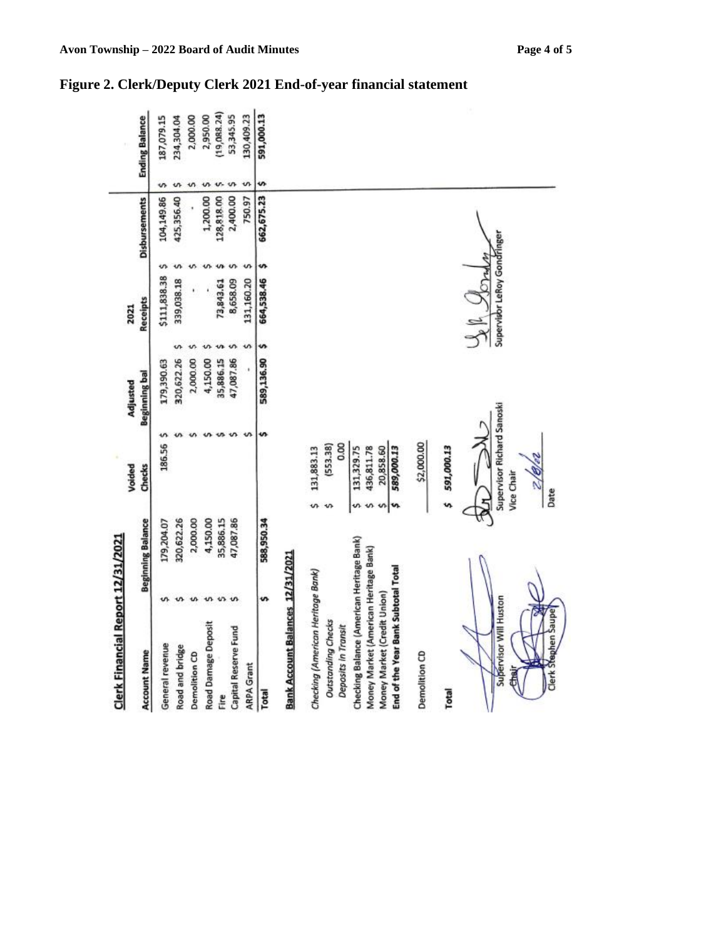| Clerk Financial Report 12/31/2021             |                          |           |                                          |                      |   |                             |   |                      |   |                       |
|-----------------------------------------------|--------------------------|-----------|------------------------------------------|----------------------|---|-----------------------------|---|----------------------|---|-----------------------|
|                                               |                          |           | Voided                                   | Adjusted             |   | 2021                        |   |                      |   |                       |
| <b>Account Name</b>                           | <b>Beginning Balance</b> |           | Checks                                   | <b>Beginning bal</b> |   | Receipts                    |   | <b>Disbursements</b> |   | <b>Ending Balance</b> |
| General revenue                               | 179,204.07               |           | 186.56                                   | 179,390.63           |   | \$111,838.38                | s | 104,149.86           | s | 187,079.15            |
| Road and bridge                               | 320,622.26               |           |                                          | 320,622.26           | s | 339,038.18                  |   | 425,356.40           | ı | 234,304.04            |
| Demolition CD                                 | 2,000.00                 |           |                                          | 2,000.00             |   |                             |   |                      |   | 2,000.00              |
| <b>Road Damage Deposit</b>                    | 4,150.00                 |           |                                          | 4,150.00             |   |                             |   | 1,200.00             |   | 2,950.00              |
| Ë                                             | 35,886.15                |           |                                          | 35,886.15            |   | 73,843.61                   |   | 128,818.00           |   | 19,088.24)            |
| Capital Reserve Fund                          | 47,087.86                |           |                                          | 47,087.86            |   | 8,658.09                    |   | 2,400.00             |   | 53,345.95             |
| <b>ARPA Grant</b>                             |                          |           |                                          |                      |   | 131,160.20                  |   | 750.97               |   | 130,409.23            |
| Total                                         | 588,950.34               |           |                                          | 589,136.90           | s | 664,538.46                  | s | 662,675.23           | s | 591,000.13            |
| Bank Account Balances 12/31/2021              |                          |           |                                          |                      |   |                             |   |                      |   |                       |
| Checking (American Heritage Bank)             |                          |           | 131,883.13                               |                      |   |                             |   |                      |   |                       |
| <b>Outstanding Checks</b>                     |                          |           | (553.38)                                 |                      |   |                             |   |                      |   |                       |
| Deposits in Transit                           |                          |           | 0.00                                     |                      |   |                             |   |                      |   |                       |
| Checking Balance (American Heritage Bank)     |                          |           | 131,329.75                               |                      |   |                             |   |                      |   |                       |
| Money Market (American Heritage Bank)         |                          |           | 436,811.78                               |                      |   |                             |   |                      |   |                       |
| Money Market (Credit Union)                   |                          |           | 20,858.60                                |                      |   |                             |   |                      |   |                       |
| End of the Year Bank Subtotal Total           |                          | s         | 589,000.13                               |                      |   |                             |   |                      |   |                       |
| Demolition CD                                 |                          |           | \$2,000.00                               |                      |   |                             |   |                      |   |                       |
| Total                                         |                          |           | 591,000.13                               |                      |   |                             |   |                      |   |                       |
| Supervisor Will Huston<br>Clerk Stephen Saupe |                          | Date<br>5 | Supervisor Richard Sanoski<br>Vice Chair |                      |   | Supervisor LeRoy Gondringer |   |                      |   |                       |

### **Figure 2. Clerk/Deputy Clerk 2021 End-of-year financial statement**